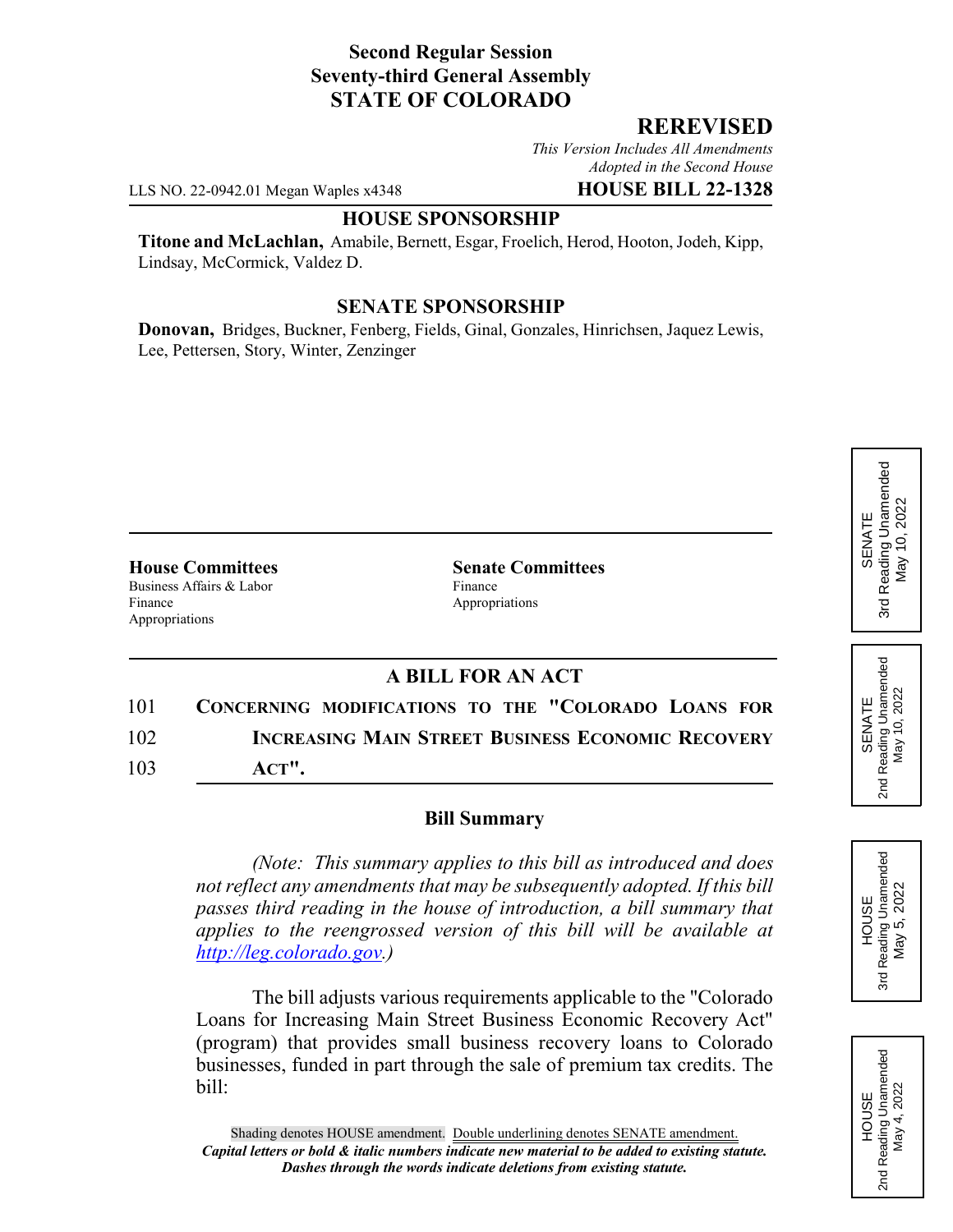## **Second Regular Session Seventy-third General Assembly STATE OF COLORADO**

### **REREVISED**

*This Version Includes All Amendments Adopted in the Second House*

LLS NO. 22-0942.01 Megan Waples x4348 **HOUSE BILL 22-1328**

#### **HOUSE SPONSORSHIP**

**Titone and McLachlan,** Amabile, Bernett, Esgar, Froelich, Herod, Hooton, Jodeh, Kipp, Lindsay, McCormick, Valdez D.

### **SENATE SPONSORSHIP**

**Donovan,** Bridges, Buckner, Fenberg, Fields, Ginal, Gonzales, Hinrichsen, Jaquez Lewis, Lee, Pettersen, Story, Winter, Zenzinger

**House Committees Senate Committees** Business Affairs & Labor Finance Finance Appropriations Appropriations

## **A BILL FOR AN ACT**

| 101 | CONCERNING MODIFICATIONS TO THE "COLORADO LOANS FOR      |
|-----|----------------------------------------------------------|
| 102 | <b>INCREASING MAIN STREET BUSINESS ECONOMIC RECOVERY</b> |
| 103 | $ACT$ ".                                                 |

#### **Bill Summary**

*(Note: This summary applies to this bill as introduced and does not reflect any amendments that may be subsequently adopted. If this bill passes third reading in the house of introduction, a bill summary that applies to the reengrossed version of this bill will be available at http://leg.colorado.gov.)*

The bill adjusts various requirements applicable to the "Colorado Loans for Increasing Main Street Business Economic Recovery Act" (program) that provides small business recovery loans to Colorado businesses, funded in part through the sale of premium tax credits. The bill:

# Reading Unamended 3rd Reading Unamended May 10, 2022 May 10, 2022 SENATE 3rd

| SENATE | Jnamende<br>Reading | 2022<br>Nav |  |
|--------|---------------------|-------------|--|
|--------|---------------------|-------------|--|

შ<br>ფ



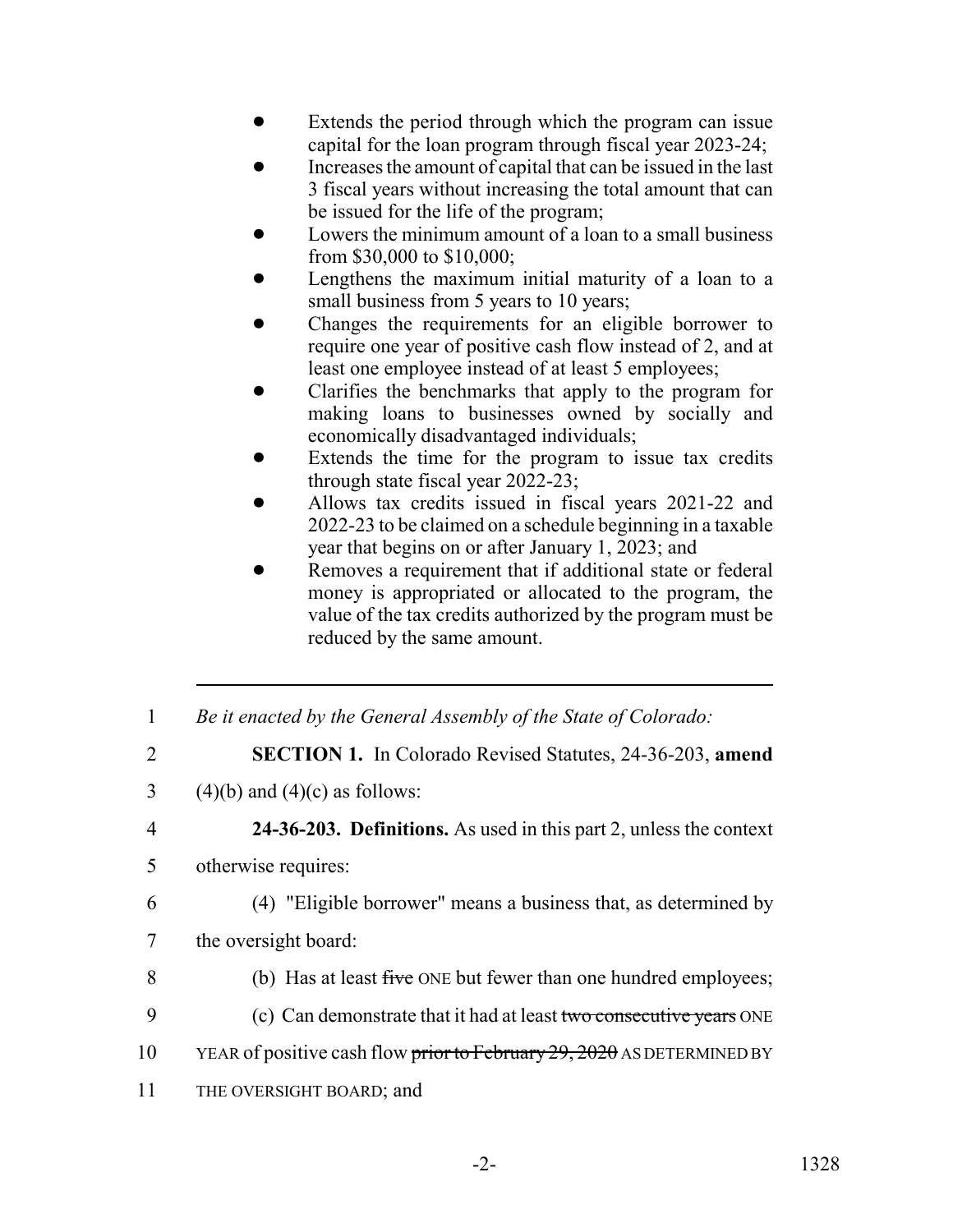- Extends the period through which the program can issue capital for the loan program through fiscal year 2023-24;
- ! Increases the amount of capital that can be issued in the last 3 fiscal years without increasing the total amount that can be issued for the life of the program;
- Lowers the minimum amount of a loan to a small business from \$30,000 to \$10,000;
- Lengthens the maximum initial maturity of a loan to a small business from 5 years to 10 years;
- ! Changes the requirements for an eligible borrower to require one year of positive cash flow instead of 2, and at least one employee instead of at least 5 employees;
- ! Clarifies the benchmarks that apply to the program for making loans to businesses owned by socially and economically disadvantaged individuals;
- Extends the time for the program to issue tax credits through state fiscal year 2022-23;
- ! Allows tax credits issued in fiscal years 2021-22 and 2022-23 to be claimed on a schedule beginning in a taxable year that begins on or after January 1, 2023; and
- Removes a requirement that if additional state or federal money is appropriated or allocated to the program, the value of the tax credits authorized by the program must be reduced by the same amount.
- 1 *Be it enacted by the General Assembly of the State of Colorado:*
- 2 **SECTION 1.** In Colorado Revised Statutes, 24-36-203, **amend**
- 3 (4)(b) and (4)(c) as follows:
- 4 **24-36-203. Definitions.** As used in this part 2, unless the context
- 5 otherwise requires:
- 

6 (4) "Eligible borrower" means a business that, as determined by

- 7 the oversight board:
- 8 (b) Has at least five ONE but fewer than one hundred employees;
- 9 (c) Can demonstrate that it had at least two consecutive years ONE
- 10 YEAR of positive cash flow prior to February 29, 2020 AS DETERMINED BY
- 11 THE OVERSIGHT BOARD; and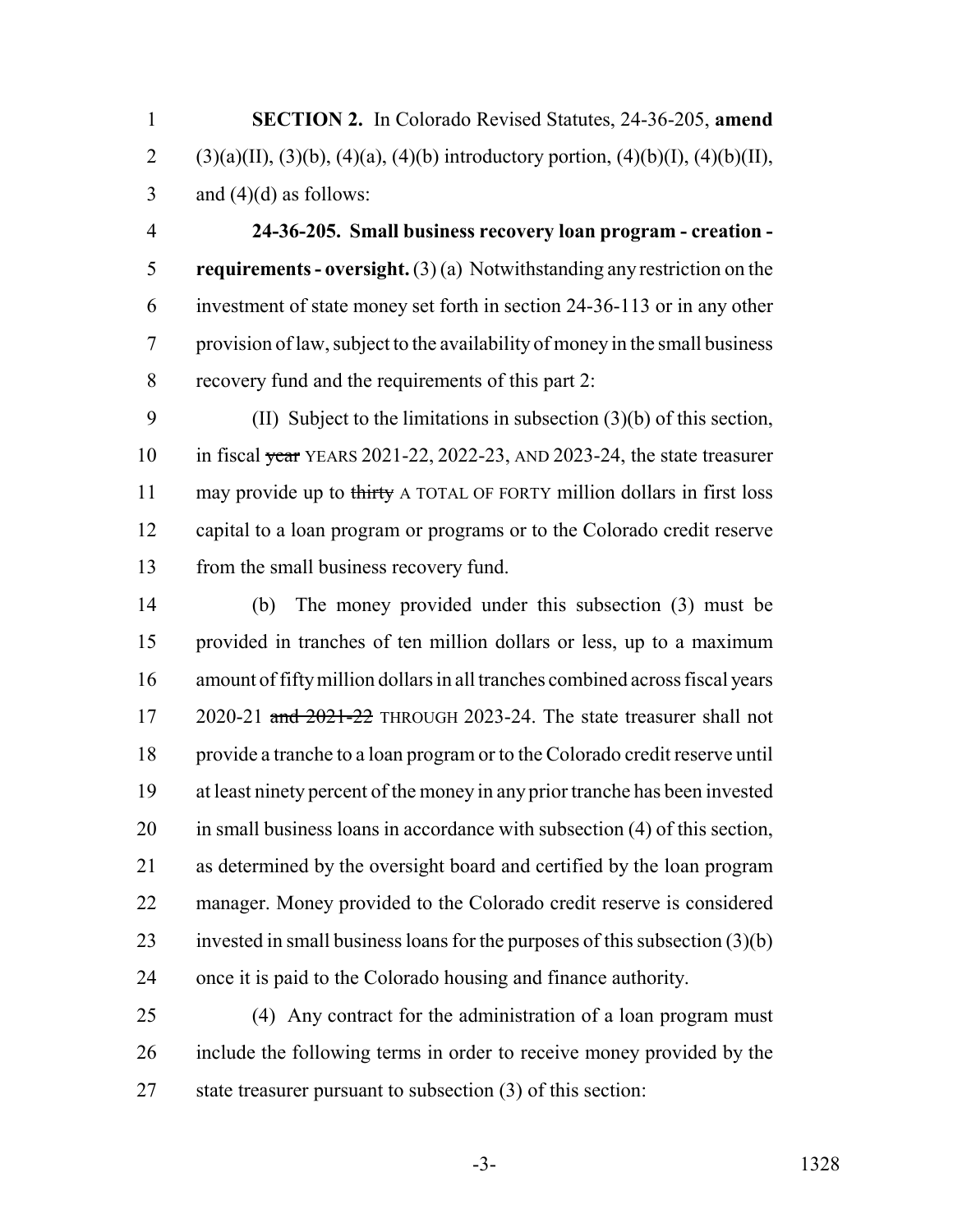**SECTION 2.** In Colorado Revised Statutes, 24-36-205, **amend** 2 (3)(a)(II), (3)(b), (4)(a), (4)(b) introductory portion, (4)(b)(I), (4)(b)(II), 3 and  $(4)(d)$  as follows:

 **24-36-205. Small business recovery loan program - creation - requirements - oversight.** (3) (a) Notwithstanding any restriction on the investment of state money set forth in section 24-36-113 or in any other provision of law, subject to the availability of money in the small business recovery fund and the requirements of this part 2:

 (II) Subject to the limitations in subsection (3)(b) of this section, 10 in fiscal year YEARS 2021-22, 2022-23, AND 2023-24, the state treasurer 11 may provide up to thirty A TOTAL OF FORTY million dollars in first loss capital to a loan program or programs or to the Colorado credit reserve from the small business recovery fund.

 (b) The money provided under this subsection (3) must be provided in tranches of ten million dollars or less, up to a maximum amount of fifty million dollars in all tranches combined across fiscal years 17 2020-21 and 2021-22 THROUGH 2023-24. The state treasurer shall not provide a tranche to a loan program or to the Colorado credit reserve until at least ninety percent of the money in any prior tranche has been invested in small business loans in accordance with subsection (4) of this section, as determined by the oversight board and certified by the loan program manager. Money provided to the Colorado credit reserve is considered invested in small business loans for the purposes of this subsection (3)(b) once it is paid to the Colorado housing and finance authority.

 (4) Any contract for the administration of a loan program must include the following terms in order to receive money provided by the 27 state treasurer pursuant to subsection (3) of this section: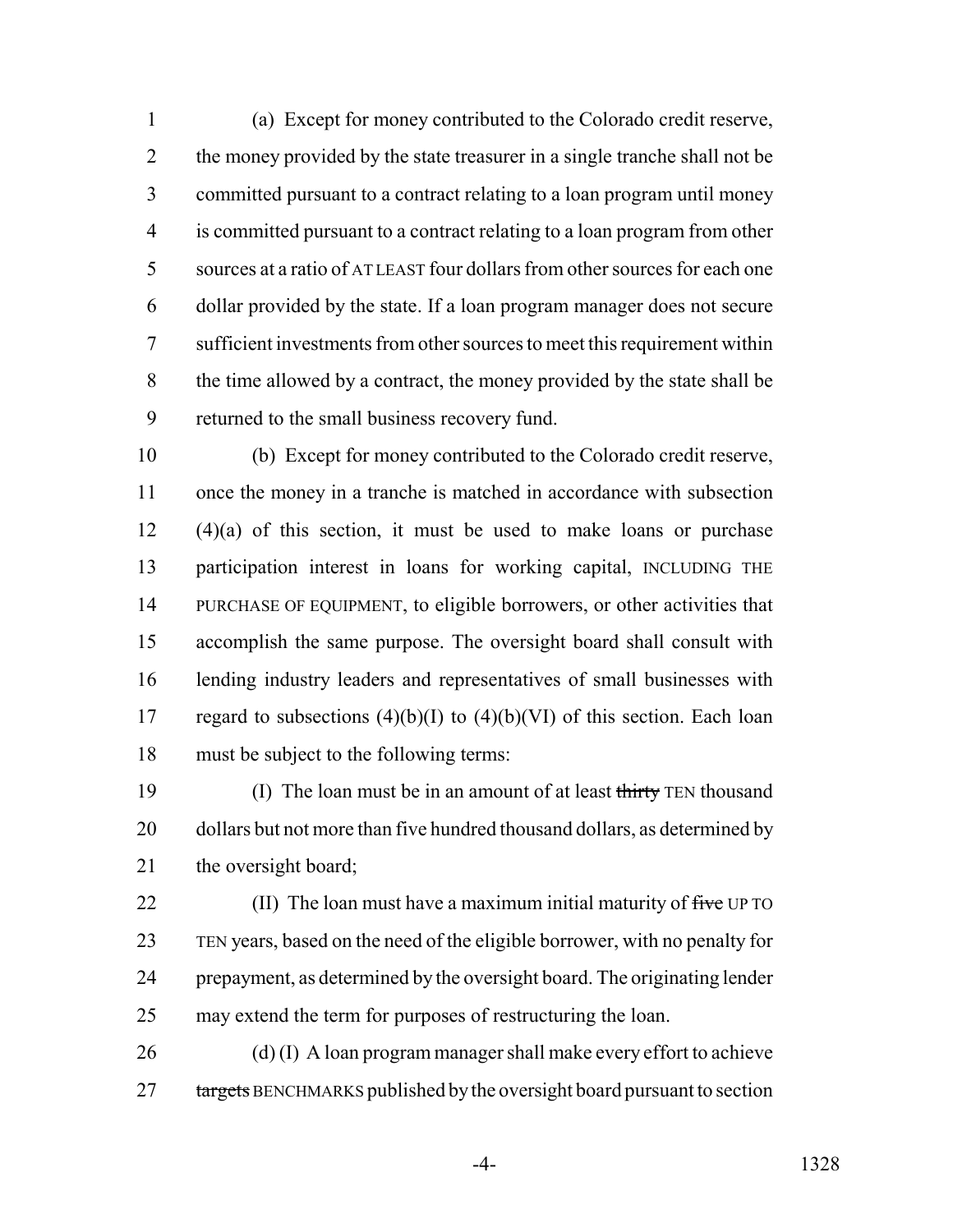(a) Except for money contributed to the Colorado credit reserve, 2 the money provided by the state treasurer in a single tranche shall not be committed pursuant to a contract relating to a loan program until money is committed pursuant to a contract relating to a loan program from other sources at a ratio of AT LEAST four dollars from other sources for each one dollar provided by the state. If a loan program manager does not secure sufficient investments from other sources to meet this requirement within the time allowed by a contract, the money provided by the state shall be returned to the small business recovery fund.

 (b) Except for money contributed to the Colorado credit reserve, once the money in a tranche is matched in accordance with subsection (4)(a) of this section, it must be used to make loans or purchase participation interest in loans for working capital, INCLUDING THE PURCHASE OF EQUIPMENT, to eligible borrowers, or other activities that accomplish the same purpose. The oversight board shall consult with lending industry leaders and representatives of small businesses with 17 regard to subsections  $(4)(b)(I)$  to  $(4)(b)(VI)$  of this section. Each loan must be subject to the following terms:

19 (I) The loan must be in an amount of at least thirty TEN thousand 20 dollars but not more than five hundred thousand dollars, as determined by 21 the oversight board;

 $(II)$  The loan must have a maximum initial maturity of five UP TO TEN years, based on the need of the eligible borrower, with no penalty for prepayment, as determined by the oversight board. The originating lender may extend the term for purposes of restructuring the loan.

26 (d) (I) A loan program manager shall make every effort to achieve 27 targets BENCHMARKS published by the oversight board pursuant to section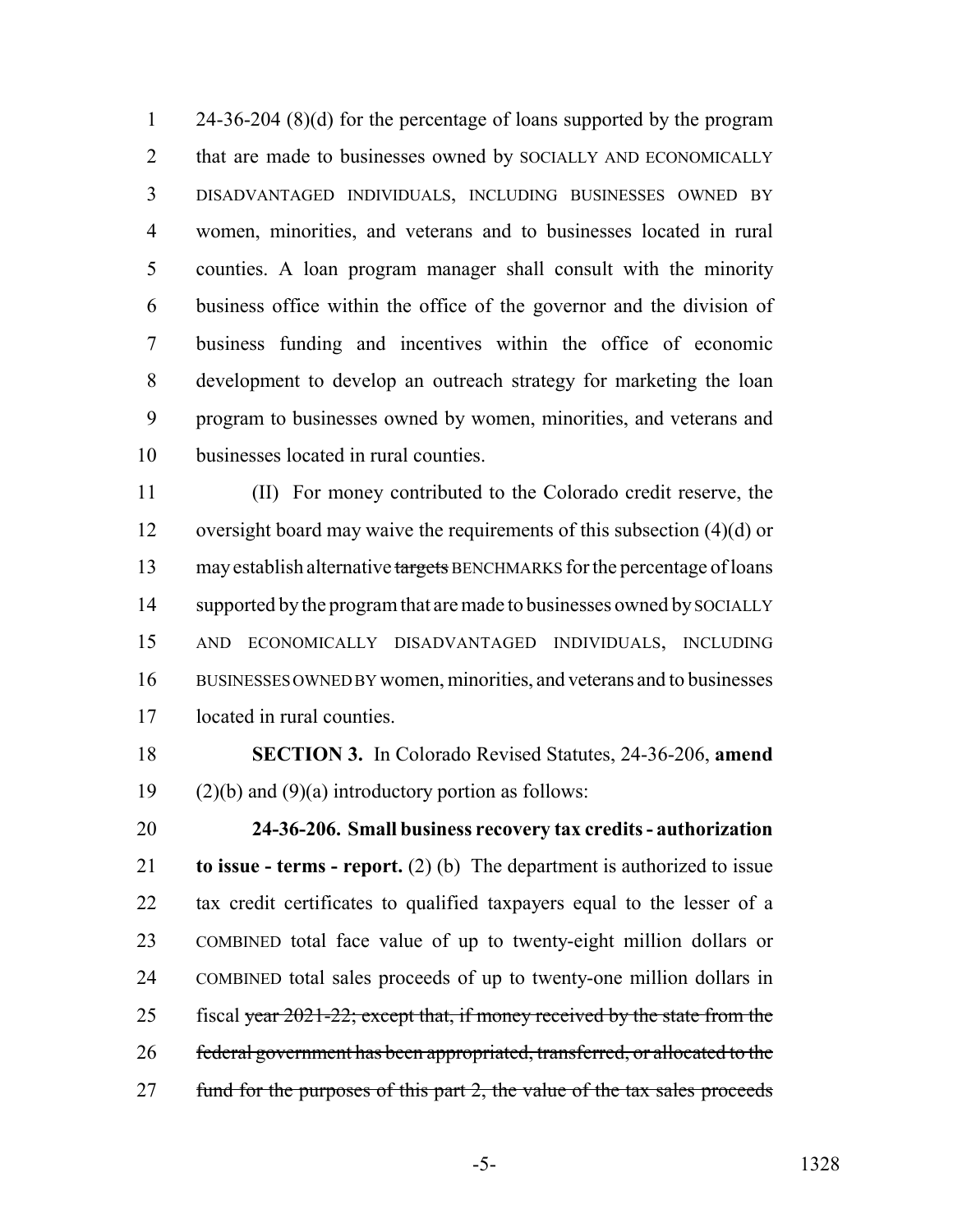24-36-204 (8)(d) for the percentage of loans supported by the program 2 that are made to businesses owned by SOCIALLY AND ECONOMICALLY DISADVANTAGED INDIVIDUALS, INCLUDING BUSINESSES OWNED BY women, minorities, and veterans and to businesses located in rural counties. A loan program manager shall consult with the minority business office within the office of the governor and the division of business funding and incentives within the office of economic development to develop an outreach strategy for marketing the loan program to businesses owned by women, minorities, and veterans and businesses located in rural counties.

 (II) For money contributed to the Colorado credit reserve, the oversight board may waive the requirements of this subsection (4)(d) or 13 may establish alternative targets BENCHMARKS for the percentage of loans 14 supported by the program that are made to businesses owned by SOCIALLY AND ECONOMICALLY DISADVANTAGED INDIVIDUALS, INCLUDING BUSINESSES OWNED BY women, minorities, and veterans and to businesses located in rural counties.

 **SECTION 3.** In Colorado Revised Statutes, 24-36-206, **amend** 19 (2)(b) and (9)(a) introductory portion as follows:

 **24-36-206. Small business recovery tax credits - authorization to issue - terms - report.** (2) (b) The department is authorized to issue tax credit certificates to qualified taxpayers equal to the lesser of a COMBINED total face value of up to twenty-eight million dollars or COMBINED total sales proceeds of up to twenty-one million dollars in 25 fiscal year 2021-22; except that, if money received by the state from the federal government has been appropriated, transferred, or allocated to the 27 fund for the purposes of this part 2, the value of the tax sales proceeds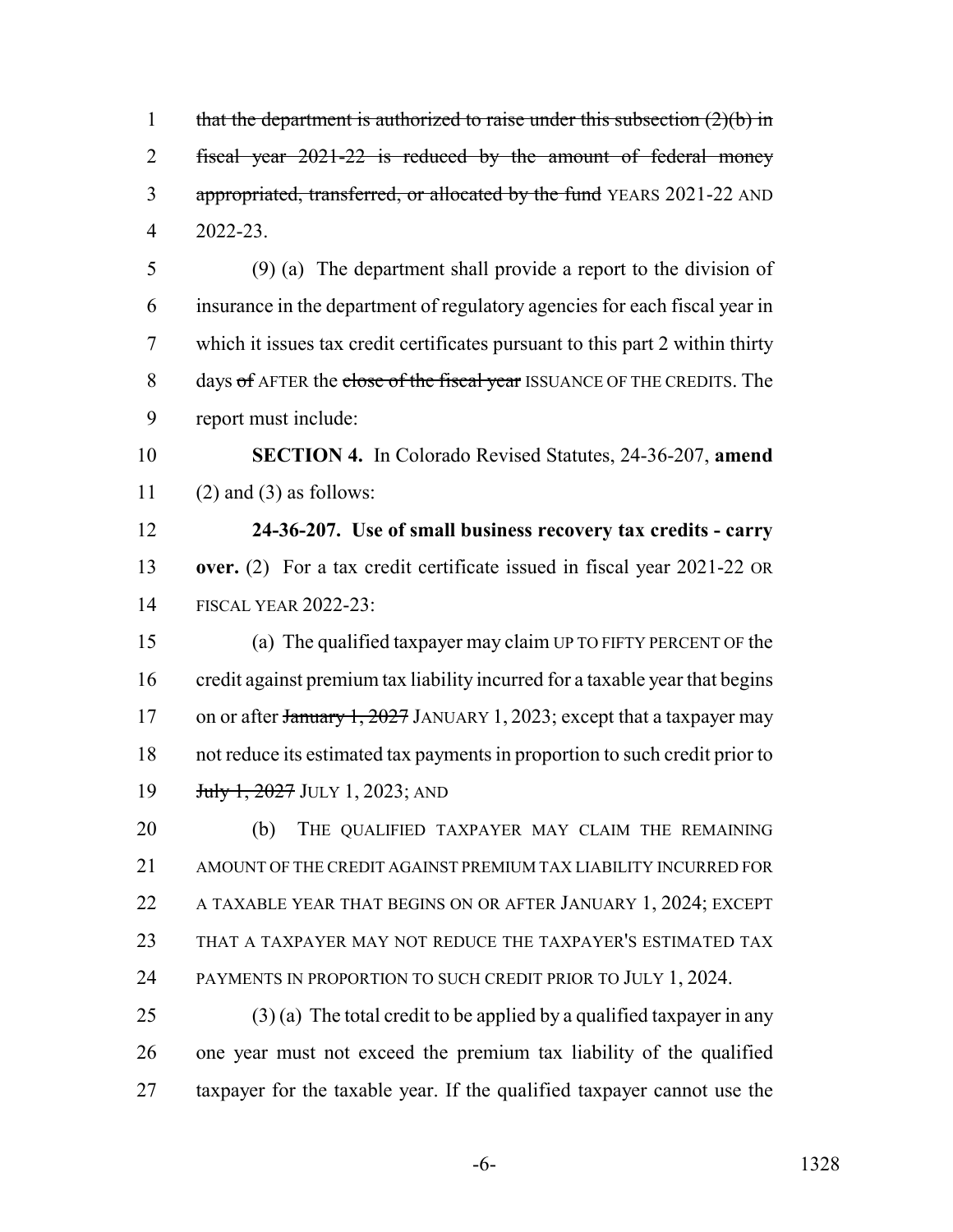1 that the department is authorized to raise under this subsection  $(2)(b)$  in fiscal year 2021-22 is reduced by the amount of federal money 3 appropriated, transferred, or allocated by the fund YEARS 2021-22 AND 2022-23. (9) (a) The department shall provide a report to the division of insurance in the department of regulatory agencies for each fiscal year in which it issues tax credit certificates pursuant to this part 2 within thirty 8 days of AFTER the close of the fiscal year ISSUANCE OF THE CREDITS. The report must include: **SECTION 4.** In Colorado Revised Statutes, 24-36-207, **amend** 11 (2) and (3) as follows: **24-36-207. Use of small business recovery tax credits - carry over.** (2) For a tax credit certificate issued in fiscal year 2021-22 OR FISCAL YEAR 2022-23: (a) The qualified taxpayer may claim UP TO FIFTY PERCENT OF the credit against premium tax liability incurred for a taxable year that begins 17 on or after January 1, 2027 JANUARY 1, 2023; except that a taxpayer may not reduce its estimated tax payments in proportion to such credit prior to **July 1, 2027 JULY 1, 2023; AND**  (b) THE QUALIFIED TAXPAYER MAY CLAIM THE REMAINING AMOUNT OF THE CREDIT AGAINST PREMIUM TAX LIABILITY INCURRED FOR A TAXABLE YEAR THAT BEGINS ON OR AFTER JANUARY 1, 2024; EXCEPT THAT A TAXPAYER MAY NOT REDUCE THE TAXPAYER'S ESTIMATED TAX 24 PAYMENTS IN PROPORTION TO SUCH CREDIT PRIOR TO JULY 1, 2024. 25 (3) (a) The total credit to be applied by a qualified taxpayer in any one year must not exceed the premium tax liability of the qualified taxpayer for the taxable year. If the qualified taxpayer cannot use the

-6- 1328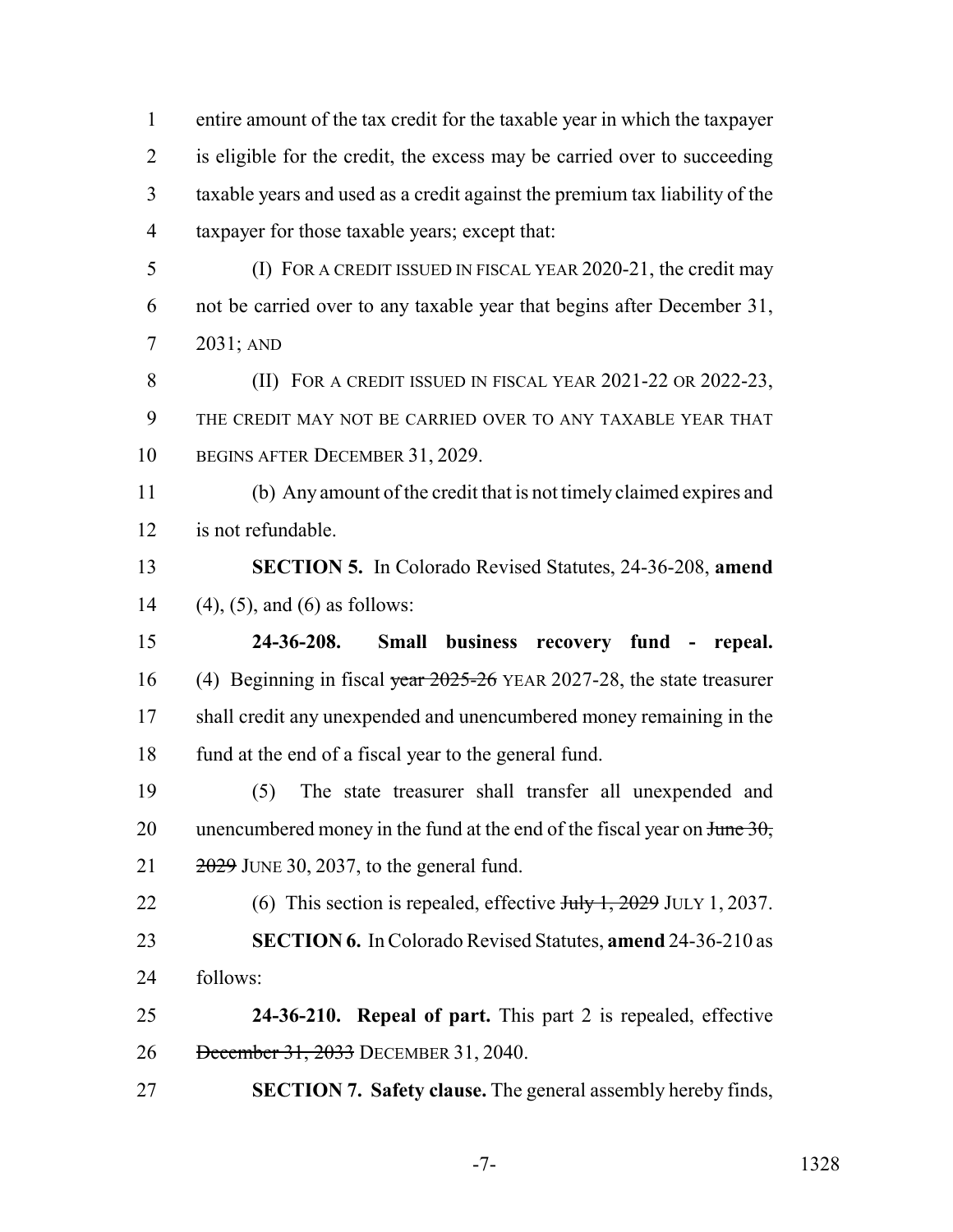entire amount of the tax credit for the taxable year in which the taxpayer is eligible for the credit, the excess may be carried over to succeeding taxable years and used as a credit against the premium tax liability of the taxpayer for those taxable years; except that:

 (I) FOR A CREDIT ISSUED IN FISCAL YEAR 2020-21, the credit may not be carried over to any taxable year that begins after December 31, 2031; AND

8 (II) FOR A CREDIT ISSUED IN FISCAL YEAR 2021-22 OR 2022-23, THE CREDIT MAY NOT BE CARRIED OVER TO ANY TAXABLE YEAR THAT BEGINS AFTER DECEMBER 31, 2029.

 (b) Any amount of the credit that is not timely claimed expires and is not refundable.

 **SECTION 5.** In Colorado Revised Statutes, 24-36-208, **amend** (4), (5), and (6) as follows:

 **24-36-208. Small business recovery fund - repeal.** 16 (4) Beginning in fiscal year 2025-26 YEAR 2027-28, the state treasurer shall credit any unexpended and unencumbered money remaining in the 18 fund at the end of a fiscal year to the general fund.

 (5) The state treasurer shall transfer all unexpended and 20 unencumbered money in the fund at the end of the fiscal year on  $\frac{1}{2}\theta$ ,  $21 \qquad \frac{2029}{1000}$  JUNE 30, 2037, to the general fund.

22 (6) This section is repealed, effective  $\frac{\text{H}_y}{1, 2029}$  JULY 1, 2037. **SECTION 6.** In Colorado Revised Statutes, **amend** 24-36-210 as follows:

 **24-36-210. Repeal of part.** This part 2 is repealed, effective December 31, 2033 DECEMBER 31, 2040.

**SECTION 7. Safety clause.** The general assembly hereby finds,